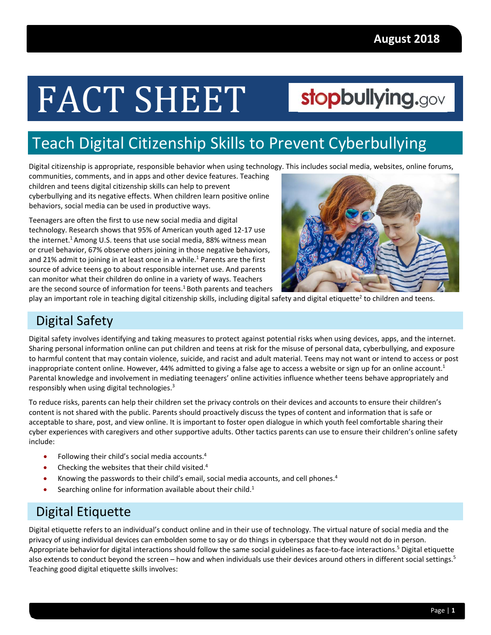# FACT SHEET

## stopbullying.gov

### Teach Digital Citizenship Skills to Prevent Cyberbullying

Digital citizenship is appropriate, responsible behavior when using technology. This includes social media, websites, online forums,

 communities, comments, and in apps and other device features. Teaching children and teens digital citizenship skills can help to prevent cyberbullying and its negative effects. When children learn positive online behaviors, social media can be used in productive ways.

 Teenagers are often the first to use new social media and digital technology. Research shows that 95% of American youth aged 12‐17 use the internet.<sup>1</sup> Among U.S. teens that use social media, 88% witness mean or cruel behavior, 67% observe others joining in those negative behaviors, and 21% admit to joining in at least once in a while.<sup>1</sup> Parents are the first source of advice teens go to about responsible internet use. And parents can monitor what their children do online in a variety of ways. Teachers are the second source of information for teens.<sup>1</sup> Both parents and teachers



play an important role in teaching digital citizenship skills, including digital safety and digital etiquette<sup>2</sup> to children and teens.

#### Digital Safety

 Digital safety involves identifying and taking measures to protect against potential risks when using devices, apps, and the internet. Sharing personal information online can put children and teens at risk for the misuse of personal data, cyberbullying, and exposure to harmful content that may contain violence, suicide, and racist and adult material. Teens may not want or intend to access or post inappropriate content online. However, 44% admitted to giving a false age to access a website or sign up for an online account.<sup>1</sup> Parental knowledge and involvement in mediating teenagers' online activities influence whether teens behave appropriately and responsibly when using digital technologies.<sup>3</sup>

 To reduce risks, parents can help their children set the privacy controls on their devices and accounts to ensure their children's content is not shared with the public. Parents should proactively discuss the types of content and information that is safe or acceptable to share, post, and view online. It is important to foster open dialogue in which youth feel comfortable sharing their cyber experiences with caregivers and other supportive adults. Other tactics parents can use to ensure their children's online safety include:

- Following their child's social media accounts.<sup>4</sup>
- $\bullet$  Checking the websites that their child visited.<sup>4</sup>
- Knowing the passwords to their child's email, social media accounts, and cell phones.<sup>4</sup>
- Searching online for information available about their child.<sup>1</sup>

#### Digital Etiquette

 Digital etiquette refers to an individual's conduct online and in their use of technology. The virtual nature of social media and the privacy of using individual devices can embolden some to say or do things in cyberspace that they would not do in person. Appropriate behavior for digital interactions should follow the same social guidelines as face-to-face interactions.<sup>5</sup> Digital etiquette also extends to conduct beyond the screen – how and when individuals use their devices around others in different social settings.<sup>5</sup> Teaching good digital etiquette skills involves: